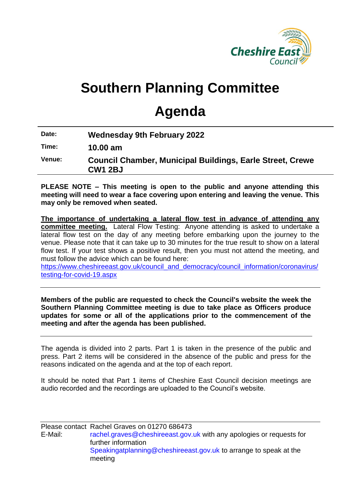

# **Southern Planning Committee**

## **Agenda**

| Date:  | <b>Wednesday 9th February 2022</b>                                                 |
|--------|------------------------------------------------------------------------------------|
| Time:  | $10.00$ am                                                                         |
| Venue: | <b>Council Chamber, Municipal Buildings, Earle Street, Crewe</b><br><b>CW1 2BJ</b> |

**PLEASE NOTE – This meeting is open to the public and anyone attending this meeting will need to wear a face covering upon entering and leaving the venue. This may only be removed when seated.** 

**The importance of undertaking a lateral flow test in advance of attending any committee meeting.** Lateral Flow Testing: Anyone attending is asked to undertake a lateral flow test on the day of any meeting before embarking upon the journey to the venue. Please note that it can take up to 30 minutes for the true result to show on a lateral flow test. If your test shows a positive result, then you must not attend the meeting, and must follow the advice which can be found here:

[https://www.cheshireeast.gov.uk/council\\_and\\_democracy/council\\_information/coronavirus/](https://www.cheshireeast.gov.uk/council_and_democracy/council_information/coronavirus/testing-for-covid-19.aspx) [testing-for-covid-19.aspx](https://www.cheshireeast.gov.uk/council_and_democracy/council_information/coronavirus/testing-for-covid-19.aspx)

**Members of the public are requested to check the Council's website the week the Southern Planning Committee meeting is due to take place as Officers produce updates for some or all of the applications prior to the commencement of the meeting and after the agenda has been published.**

The agenda is divided into 2 parts. Part 1 is taken in the presence of the public and press. Part 2 items will be considered in the absence of the public and press for the reasons indicated on the agenda and at the top of each report.

It should be noted that Part 1 items of Cheshire East Council decision meetings are audio recorded and the recordings are uploaded to the Council's website.